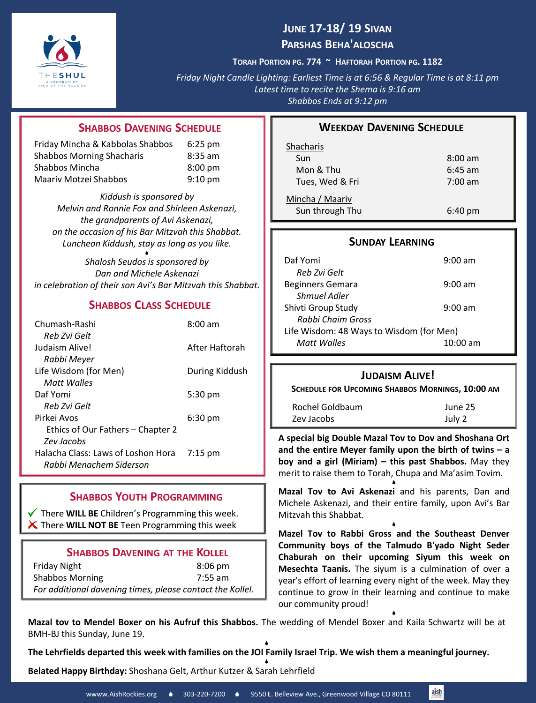

## **JUNE 17-18/ 19 SIVAN PARSHAS BEHA'ALOSCHA**

**TORAH PORTION PG. 774 ~ HAFTORAH PORTION PG. 1182**

*Friday Night Candle Lighting: Earliest Time is at 6:56 & Regular Time is at 8:11 pm Latest time to recite the Shema is 9:16 am Shabbos Ends at 9:12 pm*

#### **SHABBOS DAVENING SCHEDULE**

| Friday Mincha & Kabbolas Shabbos | $6:25 \text{ pm}$ |
|----------------------------------|-------------------|
| <b>Shabbos Morning Shacharis</b> | $8:35$ am         |
| Shabbos Mincha                   | $8:00 \text{ pm}$ |
| Maariy Motzei Shabbos            | $9:10 \text{ pm}$ |

*Kiddush is sponsored by Melvin and Ronnie Fox and Shirleen Askenazi, the grandparents of Avi Askenazi, on the occasion of his Bar Mitzvah this Shabbat. Luncheon Kiddush, stay as long as you like.*

۰ *Shalosh Seudos is sponsored by Dan and Michele Askenazi in celebration of their son Avi's Bar Mitzvah this Shabbat.* 

## **SHABBOS CLASS SCHEDULE**

| Chumash-Rashi                      | $8:00$ am         |
|------------------------------------|-------------------|
| Reb Zvi Gelt                       |                   |
| Judaism Alive!                     | After Haftorah    |
| Rabbi Meyer                        |                   |
| Life Wisdom (for Men)              | During Kiddush    |
| Matt Walles                        |                   |
| Daf Yomi                           | 5:30 pm           |
| Reb Zvi Gelt                       |                   |
| Pirkej Avos                        | $6:30 \text{ pm}$ |
| Ethics of Our Fathers – Chapter 2  |                   |
| <b>Zev Jacobs</b>                  |                   |
| Halacha Class: Laws of Loshon Hora | $7:15$ pm         |
| Rabbi Menachem Siderson            |                   |
|                                    |                   |

## **SHABBOS YOUTH PROGRAMMING**

There **WILL BE** Children's Programming this week. There **WILL NOT BE** Teen Programming this week

#### **SHABBOS DAVENING AT THE KOLLEL**

| Friday Night                                              | $8:06 \text{ pm}$ |
|-----------------------------------------------------------|-------------------|
| <b>Shabbos Morning</b>                                    | $7:55$ am         |
| For additional davening times, please contact the Kollel. |                   |

#### **WEEKDAY DAVENING SCHEDULE**

| Shacharis       |                   |
|-----------------|-------------------|
| Sun             | $8:00 \text{ am}$ |
| Mon & Thu       | $6:45$ am         |
| Tues, Wed & Fri | $7:00 \text{ am}$ |
| Mincha / Maariv |                   |
| Sun through Thu | $6:40 \text{ pm}$ |

### **SUNDAY LEARNING**

| Daf Yomi                                 | $9:00 \text{ am}$  |  |
|------------------------------------------|--------------------|--|
| Reb Zvi Gelt                             |                    |  |
| <b>Beginners Gemara</b>                  | $9:00 \text{ am}$  |  |
| Shmuel Adler                             |                    |  |
| Shivti Group Study                       | $9:00 \text{ am}$  |  |
| Rabbi Chaim Gross                        |                    |  |
| Life Wisdom: 48 Ways to Wisdom (for Men) |                    |  |
| Matt Walles                              | $10:00 \text{ am}$ |  |

#### **JUDAISM ALIVE!**

| <b>SCHEDULE FOR UPCOMING SHABBOS MORNINGS, 10:00 AM</b> |         |
|---------------------------------------------------------|---------|
| Rochel Goldbaum                                         | June 25 |
| Zev Jacobs                                              | July 2  |

**A special big Double Mazal Tov to Dov and Shoshana Ort and the entire Meyer family upon the birth of twins – a boy and a girl (Miriam) – this past Shabbos.** May they merit to raise them to Torah, Chupa and Ma'asim Tovim. ۰

**Mazal Tov to Avi Askenazi** and his parents, Dan and Michele Askenazi, and their entire family, upon Avi's Bar Mitzvah this Shabbat.

۰

**Mazel Tov to Rabbi Gross and the Southeast Denver Community boys of the Talmudo B'yado Night Seder Chaburah on their upcoming Siyum this week on Mesechta Taanis.** The siyum is a culmination of over a year's effort of learning every night of the week. May they continue to grow in their learning and continue to make our community proud!

۰

**Mazal tov to Mendel Boxer on his Aufruf this Shabbos.** The wedding of Mendel Boxer and Kaila Schwartz will be at BMH-BJ this Sunday, June 19. ۰

The Lehrfields departed this week with families on the JOI Family Israel Trip. We wish them a meaningful journey.

۰ **Belated Happy Birthday:** Shoshana Gelt, Arthur Kutzer & Sarah Lehrfield